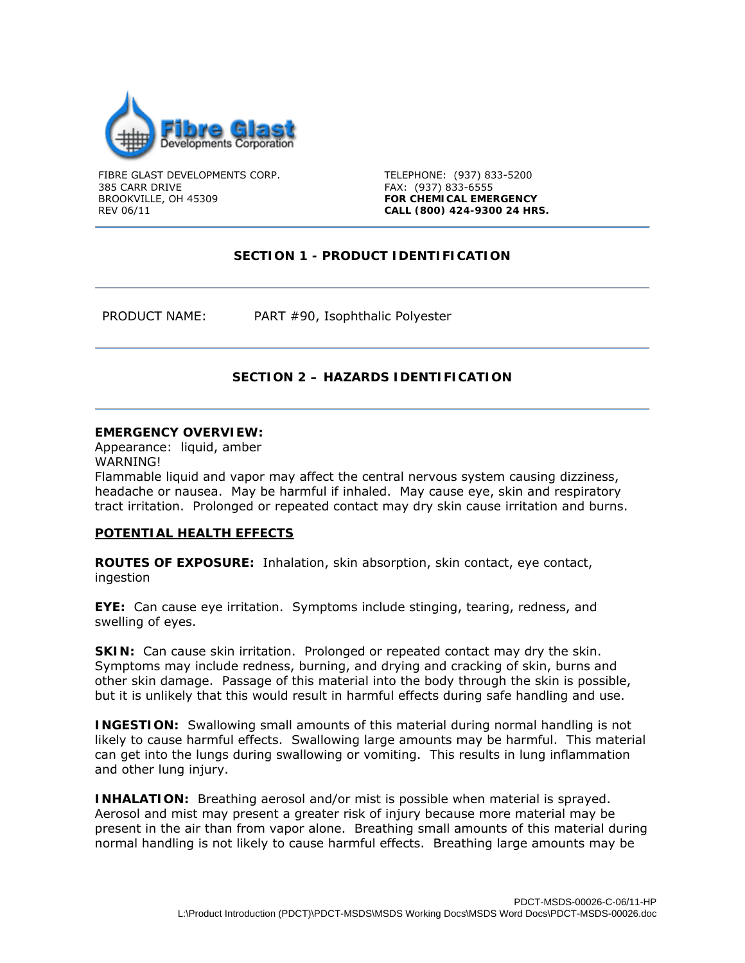

FIBRE GLAST DEVELOPMENTS CORP. 385 CARR DRIVE BROOKVILLE, OH 45309 REV 06/11

TELEPHONE: (937) 833-5200 FAX: (937) 833-6555 **FOR CHEMICAL EMERGENCY CALL (800) 424-9300 24 HRS.** 

# **SECTION 1 - PRODUCT IDENTIFICATION**

PRODUCT NAME: PART #90, Isophthalic Polyester

# **SECTION 2 – HAZARDS IDENTIFICATION**

#### **EMERGENCY OVERVIEW:**

Appearance: liquid, amber

WARNING!

Flammable liquid and vapor may affect the central nervous system causing dizziness, headache or nausea. May be harmful if inhaled. May cause eye, skin and respiratory tract irritation. Prolonged or repeated contact may dry skin cause irritation and burns.

#### **POTENTIAL HEALTH EFFECTS**

**ROUTES OF EXPOSURE:** Inhalation, skin absorption, skin contact, eye contact, ingestion

**EYE:** Can cause eye irritation. Symptoms include stinging, tearing, redness, and swelling of eyes.

**SKIN:** Can cause skin irritation. Prolonged or repeated contact may dry the skin. Symptoms may include redness, burning, and drying and cracking of skin, burns and other skin damage. Passage of this material into the body through the skin is possible, but it is unlikely that this would result in harmful effects during safe handling and use.

**INGESTION:** Swallowing small amounts of this material during normal handling is not likely to cause harmful effects. Swallowing large amounts may be harmful. This material can get into the lungs during swallowing or vomiting. This results in lung inflammation and other lung injury.

**INHALATION:** Breathing aerosol and/or mist is possible when material is sprayed. Aerosol and mist may present a greater risk of injury because more material may be present in the air than from vapor alone. Breathing small amounts of this material during normal handling is not likely to cause harmful effects. Breathing large amounts may be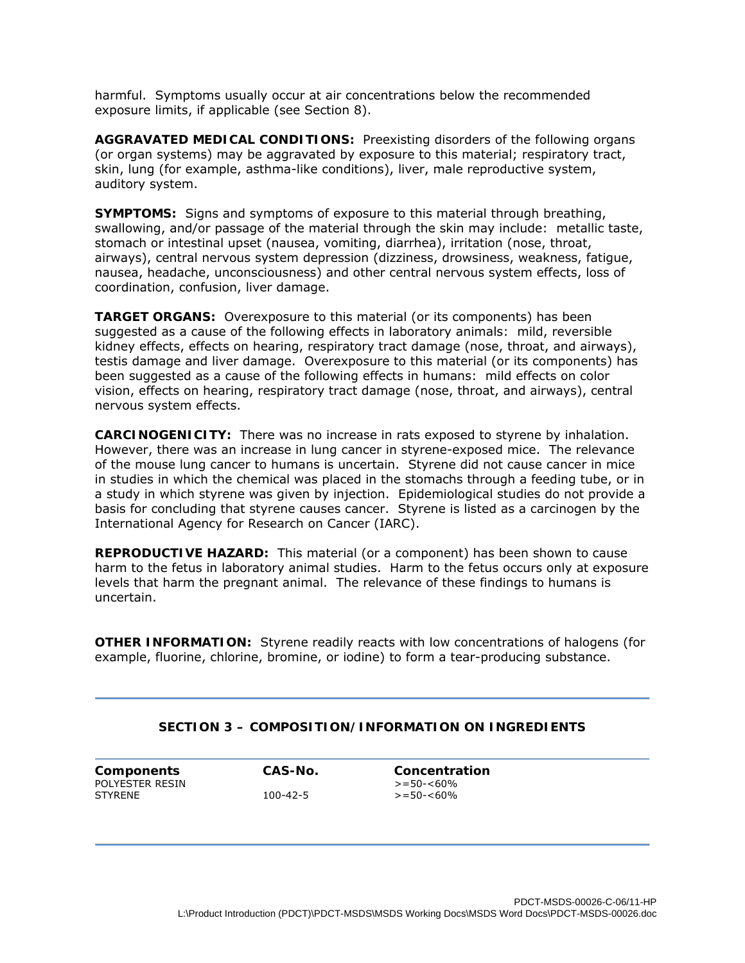harmful. Symptoms usually occur at air concentrations below the recommended exposure limits, if applicable (see Section 8).

**AGGRAVATED MEDICAL CONDITIONS:** Preexisting disorders of the following organs (or organ systems) may be aggravated by exposure to this material; respiratory tract, skin, lung (for example, asthma-like conditions), liver, male reproductive system, auditory system.

**SYMPTOMS:** Signs and symptoms of exposure to this material through breathing, swallowing, and/or passage of the material through the skin may include: metallic taste, stomach or intestinal upset (nausea, vomiting, diarrhea), irritation (nose, throat, airways), central nervous system depression (dizziness, drowsiness, weakness, fatigue, nausea, headache, unconsciousness) and other central nervous system effects, loss of coordination, confusion, liver damage.

**TARGET ORGANS:** Overexposure to this material (or its components) has been suggested as a cause of the following effects in laboratory animals: mild, reversible kidney effects, effects on hearing, respiratory tract damage (nose, throat, and airways), testis damage and liver damage. Overexposure to this material (or its components) has been suggested as a cause of the following effects in humans: mild effects on color vision, effects on hearing, respiratory tract damage (nose, throat, and airways), central nervous system effects.

**CARCINOGENICITY:** There was no increase in rats exposed to styrene by inhalation. However, there was an increase in lung cancer in styrene-exposed mice. The relevance of the mouse lung cancer to humans is uncertain. Styrene did not cause cancer in mice in studies in which the chemical was placed in the stomachs through a feeding tube, or in a study in which styrene was given by injection. Epidemiological studies do not provide a basis for concluding that styrene causes cancer. Styrene is listed as a carcinogen by the International Agency for Research on Cancer (IARC).

**REPRODUCTIVE HAZARD:** This material (or a component) has been shown to cause harm to the fetus in laboratory animal studies. Harm to the fetus occurs only at exposure levels that harm the pregnant animal. The relevance of these findings to humans is uncertain.

**OTHER INFORMATION:** Styrene readily reacts with low concentrations of halogens (for example, fluorine, chlorine, bromine, or iodine) to form a tear-producing substance.

## **SECTION 3 – COMPOSITION/INFORMATION ON INGREDIENTS**

**Components CAS-No. Concentration**  POLYESTER RESIN  $> = 50 - 60\%$ <br>STYRENE  $> = 50 - 60\%$ 

 $> = 50 - 60%$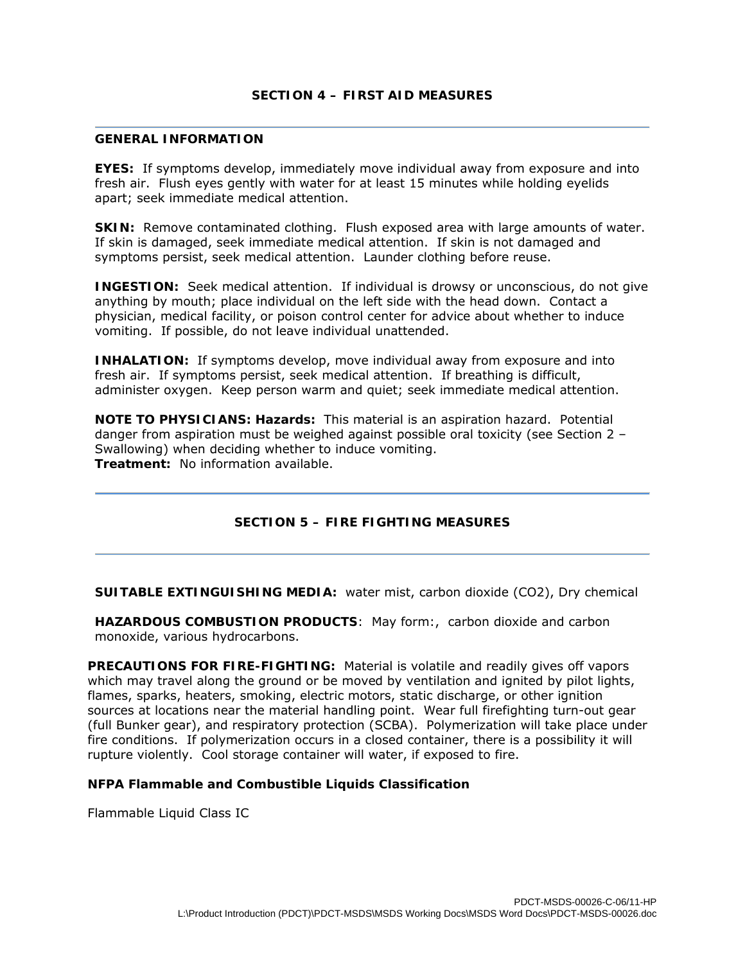### **SECTION 4 – FIRST AID MEASURES**

#### **GENERAL INFORMATION**

**EYES:** If symptoms develop, immediately move individual away from exposure and into fresh air. Flush eyes gently with water for at least 15 minutes while holding eyelids apart; seek immediate medical attention.

**SKIN:** Remove contaminated clothing. Flush exposed area with large amounts of water. If skin is damaged, seek immediate medical attention. If skin is not damaged and symptoms persist, seek medical attention. Launder clothing before reuse.

**INGESTION:** Seek medical attention. If individual is drowsy or unconscious, do not give anything by mouth; place individual on the left side with the head down. Contact a physician, medical facility, or poison control center for advice about whether to induce vomiting. If possible, do not leave individual unattended.

**INHALATION:** If symptoms develop, move individual away from exposure and into fresh air. If symptoms persist, seek medical attention. If breathing is difficult, administer oxygen. Keep person warm and quiet; seek immediate medical attention.

**NOTE TO PHYSICIANS: Hazards:** This material is an aspiration hazard. Potential danger from aspiration must be weighed against possible oral toxicity (see Section 2 – Swallowing) when deciding whether to induce vomiting. **Treatment:** No information available.

# **SECTION 5 – FIRE FIGHTING MEASURES**

**SUITABLE EXTINGUISHING MEDIA:** water mist, carbon dioxide (CO2), Dry chemical

**HAZARDOUS COMBUSTION PRODUCTS**: May form:, carbon dioxide and carbon monoxide, various hydrocarbons.

**PRECAUTIONS FOR FIRE-FIGHTING:** Material is volatile and readily gives off vapors which may travel along the ground or be moved by ventilation and ignited by pilot lights, flames, sparks, heaters, smoking, electric motors, static discharge, or other ignition sources at locations near the material handling point. Wear full firefighting turn-out gear (full Bunker gear), and respiratory protection (SCBA). Polymerization will take place under fire conditions. If polymerization occurs in a closed container, there is a possibility it will rupture violently. Cool storage container will water, if exposed to fire.

#### **NFPA Flammable and Combustible Liquids Classification**

Flammable Liquid Class IC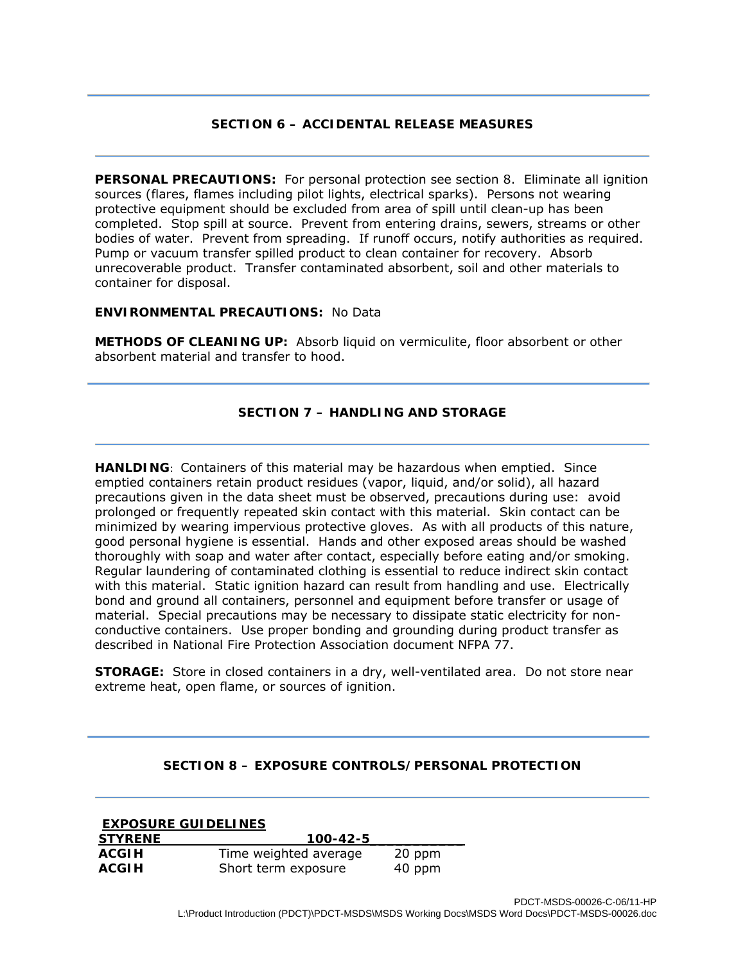## **SECTION 6 – ACCIDENTAL RELEASE MEASURES**

**PERSONAL PRECAUTIONS:** For personal protection see section 8. Eliminate all ignition sources (flares, flames including pilot lights, electrical sparks). Persons not wearing protective equipment should be excluded from area of spill until clean-up has been completed. Stop spill at source. Prevent from entering drains, sewers, streams or other bodies of water. Prevent from spreading. If runoff occurs, notify authorities as required. Pump or vacuum transfer spilled product to clean container for recovery. Absorb unrecoverable product. Transfer contaminated absorbent, soil and other materials to container for disposal.

### **ENVIRONMENTAL PRECAUTIONS:** No Data

**METHODS OF CLEANING UP:** Absorb liquid on vermiculite, floor absorbent or other absorbent material and transfer to hood.

# **SECTION 7 – HANDLING AND STORAGE**

**HANLDING**: Containers of this material may be hazardous when emptied. Since emptied containers retain product residues (vapor, liquid, and/or solid), all hazard precautions given in the data sheet must be observed, precautions during use: avoid prolonged or frequently repeated skin contact with this material. Skin contact can be minimized by wearing impervious protective gloves. As with all products of this nature, good personal hygiene is essential. Hands and other exposed areas should be washed thoroughly with soap and water after contact, especially before eating and/or smoking. Regular laundering of contaminated clothing is essential to reduce indirect skin contact with this material. Static ignition hazard can result from handling and use. Electrically bond and ground all containers, personnel and equipment before transfer or usage of material. Special precautions may be necessary to dissipate static electricity for nonconductive containers. Use proper bonding and grounding during product transfer as described in National Fire Protection Association document NFPA 77.

**STORAGE:** Store in closed containers in a dry, well-ventilated area. Do not store near extreme heat, open flame, or sources of ignition.

## **SECTION 8 – EXPOSURE CONTROLS/PERSONAL PROTECTION**

| <b>EXPOSURE GUIDELINES</b> |                       |        |  |  |
|----------------------------|-----------------------|--------|--|--|
| <b>STYRENE</b>             | $100 - 42 - 5$        |        |  |  |
| <b>ACGIH</b>               | Time weighted average | 20 ppm |  |  |
| <b>ACGIH</b>               | Short term exposure   | 40 ppm |  |  |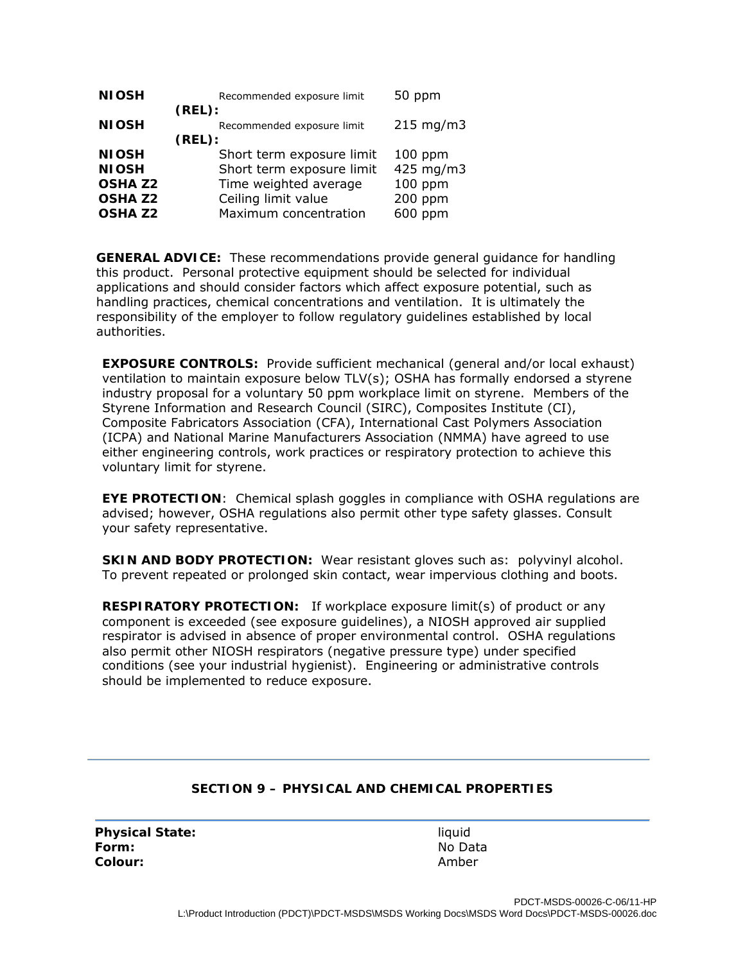| <b>NIOSH</b>   | Recommended exposure limit | 50 ppm         |
|----------------|----------------------------|----------------|
|                | (REL):                     |                |
| <b>NIOSH</b>   | Recommended exposure limit | $215$ mg/m $3$ |
|                | (REL):                     |                |
| <b>NIOSH</b>   | Short term exposure limit  | $100$ ppm      |
| <b>NIOSH</b>   | Short term exposure limit  | 425 mg/m3      |
| <b>OSHA Z2</b> | Time weighted average      | 100 ppm        |
| <b>OSHA Z2</b> | Ceiling limit value        | 200 ppm        |
| <b>OSHA Z2</b> | Maximum concentration      | 600 ppm        |

**GENERAL ADVICE:** These recommendations provide general guidance for handling this product. Personal protective equipment should be selected for individual applications and should consider factors which affect exposure potential, such as handling practices, chemical concentrations and ventilation. It is ultimately the responsibility of the employer to follow regulatory guidelines established by local authorities.

**EXPOSURE CONTROLS:** Provide sufficient mechanical (general and/or local exhaust) ventilation to maintain exposure below TLV(s); OSHA has formally endorsed a styrene industry proposal for a voluntary 50 ppm workplace limit on styrene. Members of the Styrene Information and Research Council (SIRC), Composites Institute (CI), Composite Fabricators Association (CFA), International Cast Polymers Association (ICPA) and National Marine Manufacturers Association (NMMA) have agreed to use either engineering controls, work practices or respiratory protection to achieve this voluntary limit for styrene.

**EYE PROTECTION**: Chemical splash goggles in compliance with OSHA regulations are advised; however, OSHA regulations also permit other type safety glasses. Consult your safety representative.

**SKIN AND BODY PROTECTION:** Wear resistant gloves such as: polyvinyl alcohol. To prevent repeated or prolonged skin contact, wear impervious clothing and boots.

**RESPIRATORY PROTECTION:** If workplace exposure limit(s) of product or any component is exceeded (see exposure guidelines), a NIOSH approved air supplied respirator is advised in absence of proper environmental control. OSHA regulations also permit other NIOSH respirators (negative pressure type) under specified conditions (see your industrial hygienist). Engineering or administrative controls should be implemented to reduce exposure.

## **SECTION 9 – PHYSICAL AND CHEMICAL PROPERTIES**

**Physical State: liquid liquid Form:** No Data **Colour:** Amber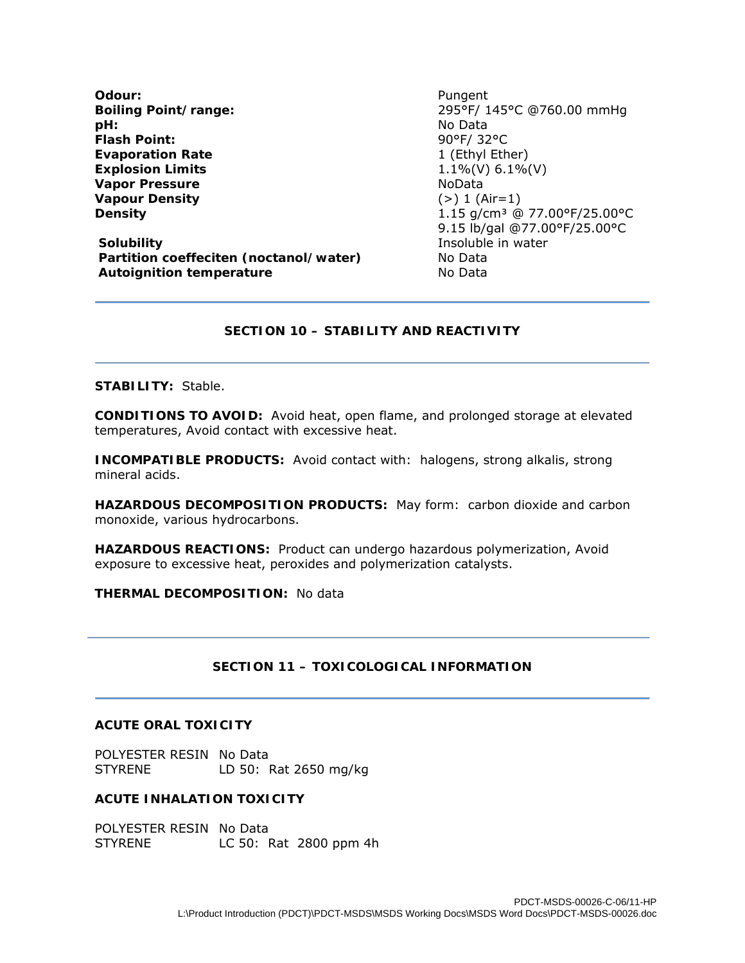**Odour:** Pungent **pH:** No Data **Flash Point:** 90°F/ 32°C **Evaporation Rate** 1 (Ethyl Ether) **Explosion Limits** 1.1%(V) 6.1%(V) **Vapor Pressure**  NoData **Vapour Density** (>) 1 (Air=1)

**Solubility Insoluble in water Partition coeffeciten (noctanol/water)** No Data **Autoignition temperature No Data** 

**Boiling Point/range:** 295°F/ 145°C @760.00 mmHg **Density Density 1.15** g/cm<sup>3</sup> @ 77.00°F/25.00°C 9.15 lb/gal @77.00°F/25.00°C

### **SECTION 10 – STABILITY AND REACTIVITY**

#### **STABILITY:** Stable.

**CONDITIONS TO AVOID:** Avoid heat, open flame, and prolonged storage at elevated temperatures, Avoid contact with excessive heat.

**INCOMPATIBLE PRODUCTS:** Avoid contact with: halogens, strong alkalis, strong mineral acids.

**HAZARDOUS DECOMPOSITION PRODUCTS:** May form: carbon dioxide and carbon monoxide, various hydrocarbons.

**HAZARDOUS REACTIONS:** Product can undergo hazardous polymerization, Avoid exposure to excessive heat, peroxides and polymerization catalysts.

**THERMAL DECOMPOSITION:** No data

## **SECTION 11 – TOXICOLOGICAL INFORMATION**

### **ACUTE ORAL TOXICITY**

POLYESTER RESIN No Data STYRENE LD 50: Rat 2650 mg/kg

## **ACUTE INHALATION TOXICITY**

POLYESTER RESIN No Data<br>STYRENE LC 50: 1 LC 50: Rat 2800 ppm 4h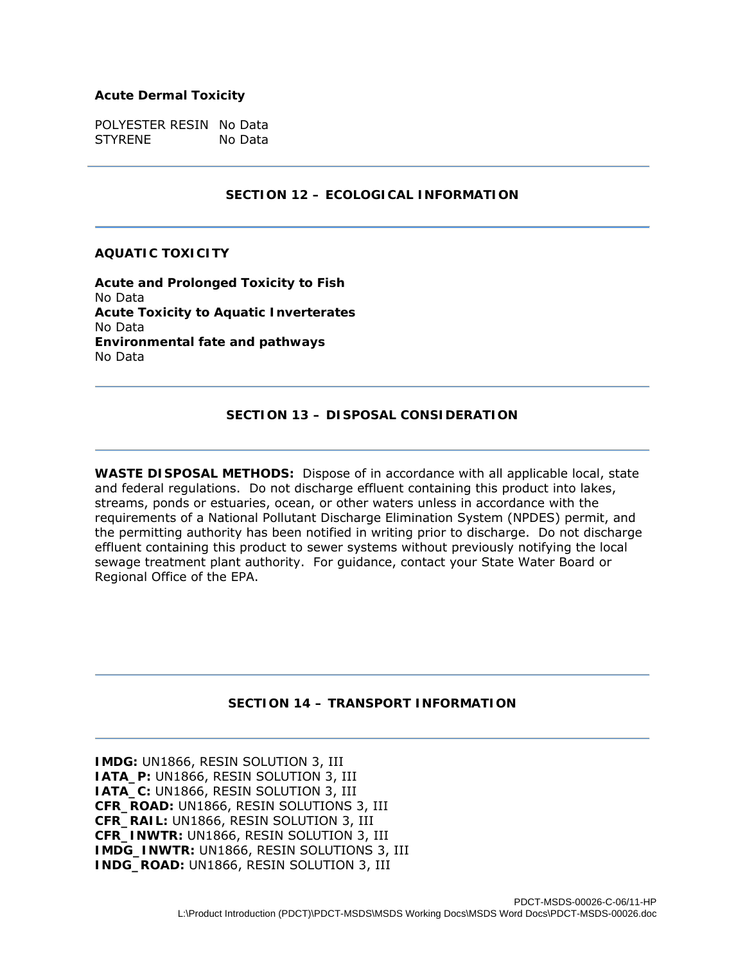#### **Acute Dermal Toxicity**

POLYESTER RESIN No Data STYRENE No Data

### **SECTION 12 – ECOLOGICAL INFORMATION**

#### **AQUATIC TOXICITY**

**Acute and Prolonged Toxicity to Fish**  No Data **Acute Toxicity to Aquatic Inverterates**  No Data **Environmental fate and pathways**  No Data

## **SECTION 13 – DISPOSAL CONSIDERATION**

**WASTE DISPOSAL METHODS:** Dispose of in accordance with all applicable local, state and federal regulations. Do not discharge effluent containing this product into lakes, streams, ponds or estuaries, ocean, or other waters unless in accordance with the requirements of a National Pollutant Discharge Elimination System (NPDES) permit, and the permitting authority has been notified in writing prior to discharge. Do not discharge effluent containing this product to sewer systems without previously notifying the local sewage treatment plant authority. For guidance, contact your State Water Board or Regional Office of the EPA.

## **SECTION 14 – TRANSPORT INFORMATION**

**IMDG:** UN1866, RESIN SOLUTION 3, III **IATA\_P:** UN1866, RESIN SOLUTION 3, III **IATA\_C:** UN1866, RESIN SOLUTION 3, III **CFR\_ROAD:** UN1866, RESIN SOLUTIONS 3, III **CFR\_RAIL:** UN1866, RESIN SOLUTION 3, III **CFR\_INWTR:** UN1866, RESIN SOLUTION 3, III **IMDG\_INWTR:** UN1866, RESIN SOLUTIONS 3, III **INDG\_ROAD:** UN1866, RESIN SOLUTION 3, III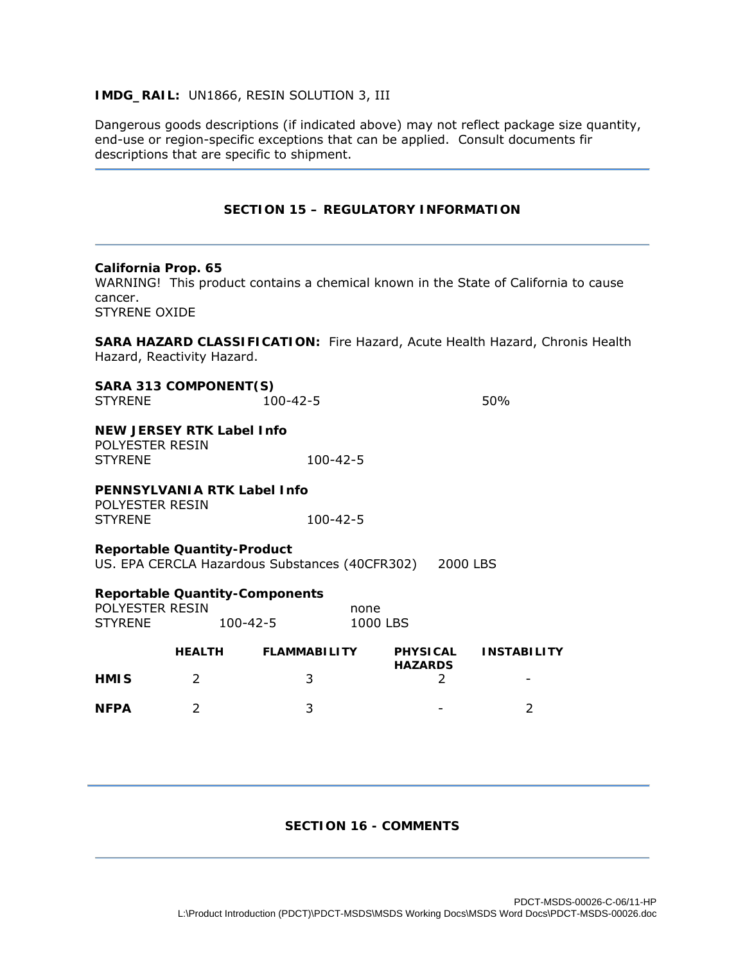## **IMDG\_RAIL:** UN1866, RESIN SOLUTION 3, III

Dangerous goods descriptions (if indicated above) may not reflect package size quantity, end-use or region-specific exceptions that can be applied. Consult documents fir descriptions that are specific to shipment.

## **SECTION 15 – REGULATORY INFORMATION**

### **California Prop. 65**

WARNING! This product contains a chemical known in the State of California to cause cancer. STYRENE OXIDE

**SARA HAZARD CLASSIFICATION:** Fire Hazard, Acute Health Hazard, Chronis Health Hazard, Reactivity Hazard.

| SARA 313 COMPONENT(S)<br><b>STYRENE</b>                                              | $100 - 42 - 5$ |          |  |
|--------------------------------------------------------------------------------------|----------------|----------|--|
| NEW JERSEY RTK Label Info<br>POLYESTER RESIN<br><b>STYRENE</b>                       | 100-42-5       |          |  |
| PENNSYLVANIA RTK Label Info                                                          |                |          |  |
| POLYESTER RESIN<br><b>STYRENE</b>                                                    | $100 - 42 - 5$ |          |  |
| <b>Reportable Quantity-Product</b><br>US. EPA CERCLA Hazardous Substances (40CFR302) |                | 2000 LBS |  |

### **Reportable Quantity-Components**

| POLYESTER RESIN |                | none     |
|-----------------|----------------|----------|
| <b>STYRENE</b>  | $100 - 42 - 5$ | 1000 LBS |

|             | <b>HEALTH</b> | <b>FLAMMABILITY</b> | <b>PHYSICAL</b><br><b>HAZARDS</b> | <b>INSTABILITY</b>       |
|-------------|---------------|---------------------|-----------------------------------|--------------------------|
| <b>HMIS</b> |               |                     |                                   | $\overline{\phantom{0}}$ |
| <b>NFPA</b> |               |                     | $\overline{\phantom{0}}$          |                          |

## **SECTION 16 - COMMENTS**